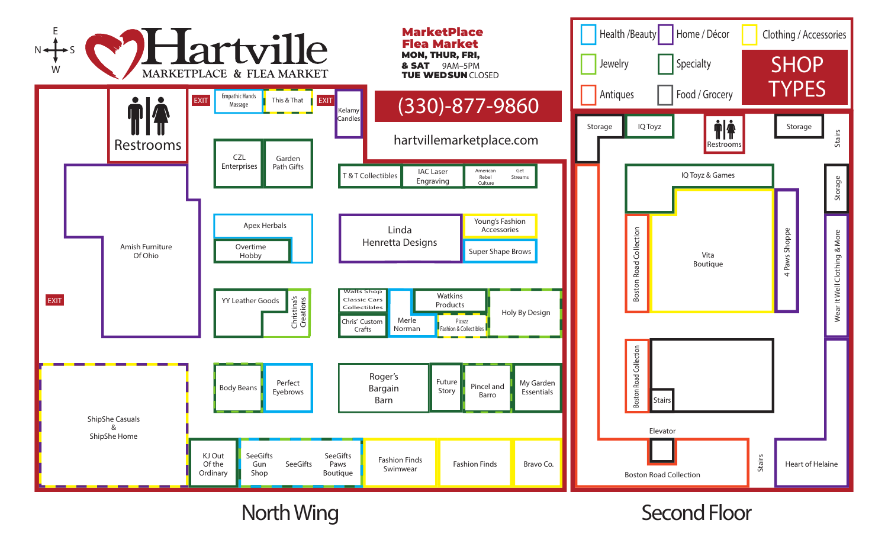

North Wing Second Floor